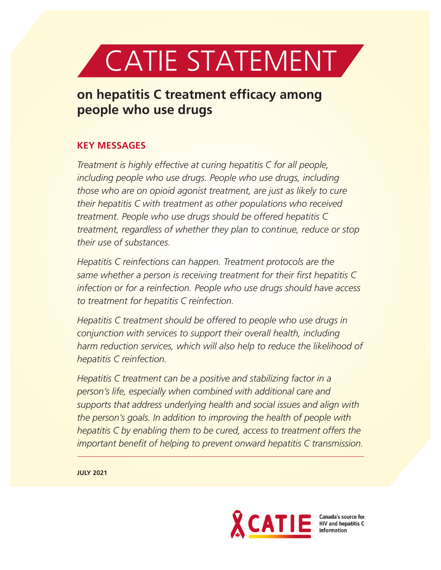

# **on hepatitis C treatment efficacy among people who use drugs**

## **KEY MESSAGES**

*Treatment is highly effective at curing hepatitis C for all people, including people who use drugs. People who use drugs, including those who are on opioid agonist treatment, are just as likely to cure their hepatitis C with treatment as other populations who received treatment. People who use drugs should be offered hepatitis C treatment, regardless of whether they plan to continue, reduce or stop their use of substances.*

*Hepatitis C reinfections can happen. Treatment protocols are the same whether a person is receiving treatment for their first hepatitis C infection or for a reinfection. People who use drugs should have access to treatment for hepatitis C reinfection.*

*Hepatitis C treatment should be offered to people who use drugs in conjunction with services to support their overall health, including harm reduction services, which will also help to reduce the likelihood of hepatitis C reinfection.*

*Hepatitis C treatment can be a positive and stabilizing factor in a person's life, especially when combined with additional care and supports that address underlying health and social issues and align with the person's goals. In addition to improving the health of people with hepatitis C by enabling them to be cured, access to treatment offers the important benefit of helping to prevent onward hepatitis C transmission.*

**JULY 2021**



Canada's source for<br>HIV and hepatitis C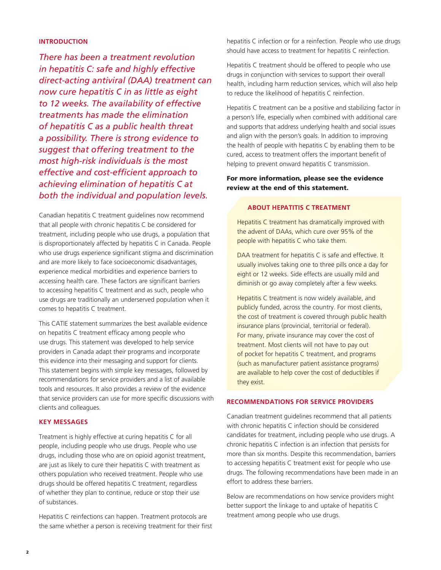## **INTRODUCTION**

*There has been a treatment revolution in hepatitis C: safe and highly effective direct-acting antiviral (DAA) treatment can now cure hepatitis C in as little as eight to 12 weeks. The availability of effective treatments has made the elimination of hepatitis C as a public health threat a possibility. There is strong evidence to suggest that offering treatment to the most high-risk individuals is the most effective and cost-efficient approach to achieving elimination of hepatitis C at both the individual and population levels.*

Canadian hepatitis C treatment guidelines now recommend that all people with chronic hepatitis C be considered for treatment, including people who use drugs, a population that is disproportionately affected by hepatitis C in Canada. People who use drugs experience significant stigma and discrimination and are more likely to face socioeconomic disadvantages, experience medical morbidities and experience barriers to accessing health care. These factors are significant barriers to accessing hepatitis C treatment and as such, people who use drugs are traditionally an underserved population when it comes to hepatitis C treatment.

This CATIE statement summarizes the best available evidence on hepatitis C treatment efficacy among people who use drugs. This statement was developed to help service providers in Canada adapt their programs and incorporate this evidence into their messaging and support for clients. This statement begins with simple key messages, followed by recommendations for service providers and a list of available tools and resources. It also provides a review of the evidence that service providers can use for more specific discussions with clients and colleagues.

#### **KEY MESSAGES**

Treatment is highly effective at curing hepatitis C for all people, including people who use drugs. People who use drugs, including those who are on opioid agonist treatment, are just as likely to cure their hepatitis C with treatment as others population who received treatment. People who use drugs should be offered hepatitis C treatment, regardless of whether they plan to continue, reduce or stop their use of substances.

Hepatitis C reinfections can happen. Treatment protocols are the same whether a person is receiving treatment for their first hepatitis C infection or for a reinfection. People who use drugs should have access to treatment for hepatitis C reinfection.

Hepatitis C treatment should be offered to people who use drugs in conjunction with services to support their overall health, including harm reduction services, which will also help to reduce the likelihood of hepatitis C reinfection.

Hepatitis C treatment can be a positive and stabilizing factor in a person's life, especially when combined with additional care and supports that address underlying health and social issues and align with the person's goals. In addition to improving the health of people with hepatitis C by enabling them to be cured, access to treatment offers the important benefit of helping to prevent onward hepatitis C transmission.

For more information, please see the evidence review at the end of this statement.

## **ABOUT HEPATITIS C TREATMENT**

Hepatitis C treatment has dramatically improved with the advent of DAAs, which cure over 95% of the people with hepatitis C who take them.

DAA treatment for hepatitis C is safe and effective. It usually involves taking one to three pills once a day for eight or 12 weeks. Side effects are usually mild and diminish or go away completely after a few weeks.

Hepatitis C treatment is now widely available, and publicly funded, across the country. For most clients, the cost of treatment is covered through public health insurance plans (provincial, territorial or federal). For many, private insurance may cover the cost of treatment. Most clients will not have to pay out of pocket for hepatitis C treatment, and programs (such as manufacturer patient assistance programs) are available to help cover the cost of deductibles if they exist.

## **RECOMMENDATIONS FOR SERVICE PROVIDERS**

Canadian treatment guidelines recommend that all patients with chronic hepatitis C infection should be considered candidates for treatment, including people who use drugs. A chronic hepatitis C infection is an infection that persists for more than six months. Despite this recommendation, barriers to accessing hepatitis C treatment exist for people who use drugs. The following recommendations have been made in an effort to address these barriers.

Below are recommendations on how service providers might better support the linkage to and uptake of hepatitis C treatment among people who use drugs.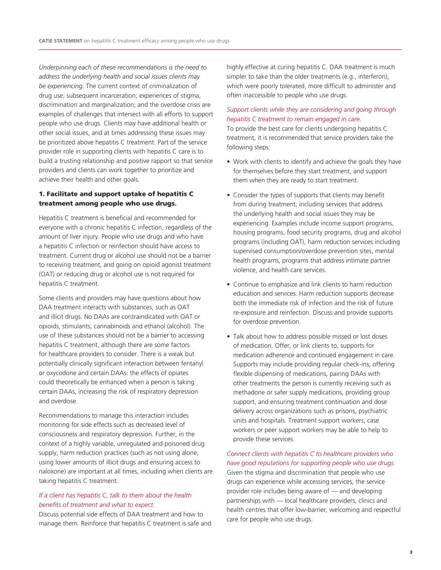*Underpinning each of these recommendations is the need to address the underlying health and social issues clients may be experiencing.* The current context of criminalization of drug use; subsequent incarceration; experiences of stigma, discrimination and marginalization; and the overdose crisis are examples of challenges that intersect with all efforts to support people who use drugs. Clients may have additional health or other social issues, and at times addressing these issues may be prioritized above hepatitis C treatment. Part of the service provider role in supporting clients with hepatitis C care is to build a trusting relationship and positive rapport so that service providers and clients can work together to prioritize and achieve their health and other goals.

## 1. Facilitate and support uptake of hepatitis C treatment among people who use drugs.

Hepatitis C treatment is beneficial and recommended for everyone with a chronic hepatitis C infection, regardless of the amount of liver injury. People who use drugs and who have a hepatitis C infection or reinfection should have access to treatment. Current drug or alcohol use should not be a barrier to receiving treatment, and going on opioid agonist treatment (OAT) or reducing drug or alcohol use is not required for hepatitis C treatment.

Some clients and providers may have questions about how DAA treatment interacts with substances, such as OAT and illicit drugs. No DAAs are contraindicated with OAT or opioids, stimulants, cannabinoids and ethanol (alcohol). The use of these substances should not be a barrier to accessing hepatitis C treatment, although there are some factors for healthcare providers to consider. There is a weak but potentially clinically significant interaction between fentanyl or oxycodone and certain DAAs: the effects of opiates could theoretically be enhanced when a person is taking certain DAAs, increasing the risk of respiratory depression and overdose.

Recommendations to manage this interaction includes monitoring for side effects such as decreased level of consciousness and respiratory depression. Further, in the context of a highly variable, unregulated and poisoned drug supply, harm reduction practices (such as not using alone, using lower amounts of illicit drugs and ensuring access to naloxone) are important at all times, including when clients are taking hepatitis C treatment.

## *If a client has hepatitis C, talk to them about the health benefits of treatment and what to expect.*

Discuss potential side effects of DAA treatment and how to manage them. Reinforce that hepatitis C treatment is safe and highly effective at curing hepatitis C. DAA treatment is much simpler to take than the older treatments (e.g., interferon), which were poorly tolerated, more difficult to administer and often inaccessible to people who use drugs.

## *Support clients while they are considering and going through hepatitis C treatment to remain engaged in care.*

To provide the best care for clients undergoing hepatitis C treatment, it is recommended that service providers take the following steps:

- Work with clients to identify and achieve the goals they have for themselves before they start treatment, and support them when they are ready to start treatment.
- Consider the types of supports that clients may benefit from during treatment, including services that address the underlying health and social issues they may be experiencing. Examples include income support programs, housing programs, food security programs, drug and alcohol programs (including OAT), harm reduction services including supervised consumption/overdose prevention sites, mental health programs, programs that address intimate partner violence, and health care services.
- Continue to emphasize and link clients to harm reduction education and services. Harm reduction supports decrease both the immediate risk of infection and the risk of future re-exposure and reinfection. Discuss and provide supports for overdose prevention.
- Talk about how to address possible missed or lost doses of medication. Offer, or link clients to, supports for medication adherence and continued engagement in care. Supports may include providing regular check-ins, offering flexible dispensing of medications, pairing DAAs with other treatments the person is currently receiving such as methadone or safer supply medications, providing group support, and ensuring treatment continuation and dose delivery across organizations such as prisons, psychiatric units and hospitals. Treatment support workers, case workers or peer support workers may be able to help to provide these services.

*Connect clients with hepatitis C to healthcare providers who have good reputations for supporting people who use drugs.* Given the stigma and discrimination that people who use drugs can experience while accessing services, the service provider role includes being aware of — and developing partnerships with — local healthcare providers, clinics and health centres that offer low-barrier, welcoming and respectful care for people who use drugs.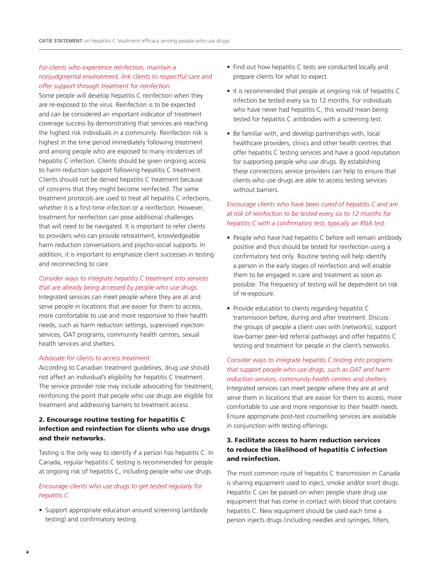## *For clients who experience reinfection, maintain a nonjudgmental environment, link clients to respectful care and offer support through treatment for reinfection.*

Some people will develop hepatitis C reinfection when they are re-exposed to the virus. Reinfection is to be expected and can be considered an important indicator of treatment coverage success by demonstrating that services are reaching the highest risk individuals in a community. Reinfection risk is highest in the time period immediately following treatment and among people who are exposed to many incidences of hepatitis C infection. Clients should be given ongoing access to harm reduction support following hepatitis C treatment. Clients should not be denied hepatitis C treatment because of concerns that they might become reinfected. The same treatment protocols are used to treat all hepatitis C infections, whether it is a first-time infection or a reinfection. However, treatment for reinfection can pose additional challenges that will need to be navigated. It is important to refer clients to providers who can provide retreatment, knowledgeable harm reduction conversations and psycho-social supports. In addition, it is important to emphasize client successes in testing and reconnecting to care.

## *Consider ways to integrate hepatitis C treatment into services that are already being accessed by people who use drugs*.

Integrated services can meet people where they are at and serve people in locations that are easier for them to access, more comfortable to use and more responsive to their health needs, such as harm reduction settings, supervised injection services, OAT programs, community health centres, sexual health services and shelters.

#### *Advocate for clients to access treatment.*

According to Canadian treatment guidelines, drug use should not affect an individual's eligibility for hepatitis C treatment. The service provider role may include advocating for treatment, reinforcing the point that people who use drugs are eligible for treatment and addressing barriers to treatment access.

## 2. Encourage routine testing for hepatitis C infection and reinfection for clients who use drugs and their networks.

Testing is the only way to identify if a person has hepatitis C. In Canada, regular hepatitis C testing is recommended for people at ongoing risk of hepatitis C, including people who use drugs.

### *Encourage clients who use drugs to get tested regularly for hepatitis C.*

• Support appropriate education around screening (antibody testing) and confirmatory testing.

- Find out how hepatitis C tests are conducted locally and prepare clients for what to expect.
- It is recommended that people at ongoing risk of hepatitis C infection be tested every six to 12 months. For individuals who have never had hepatitis C, this would mean being tested for hepatitis C antibodies with a screening test.
- Be familiar with, and develop partnerships with, local healthcare providers, clinics and other health centres that offer hepatitis C testing services and have a good reputation for supporting people who use drugs. By establishing these connections service providers can help to ensure that clients who use drugs are able to access testing services without barriers.

## *Encourage clients who have been cured of hepatitis C and are at risk of reinfection to be tested every six to 12 months for hepatitis C with a confirmatory test, typically an RNA test.*

- People who have had hepatitis C before will remain antibody positive and thus should be tested for reinfection using a confirmatory test only. Routine testing will help identify a person in the early stages of reinfection and will enable them to be engaged in care and treatment as soon as possible. The frequency of testing will be dependent on risk of re-exposure.
- Provide education to clients regarding hepatitis C transmission before, during and after treatment. Discuss the groups of people a client uses with (networks), support low-barrier peer-led referral pathways and offer hepatitis C testing and treatment for people in the client's networks.

*Consider ways to integrate hepatitis C testing into programs that support people who use drugs, such as OAT and harm reduction services, community health centres and shelters.* Integrated services can meet people where they are at and serve them in locations that are easier for them to access, more comfortable to use and more responsive to their health needs. Ensure appropriate post-test counselling services are available in conjunction with testing offerings.

## 3. Facilitate access to harm reduction services to reduce the likelihood of hepatitis C infection and reinfection.

The most common route of hepatitis C transmission in Canada is sharing equipment used to inject, smoke and/or snort drugs. Hepatitis C can be passed on when people share drug use equipment that has come in contact with blood that contains hepatitis C. New equipment should be used each time a person injects drugs (including needles and syringes, filters,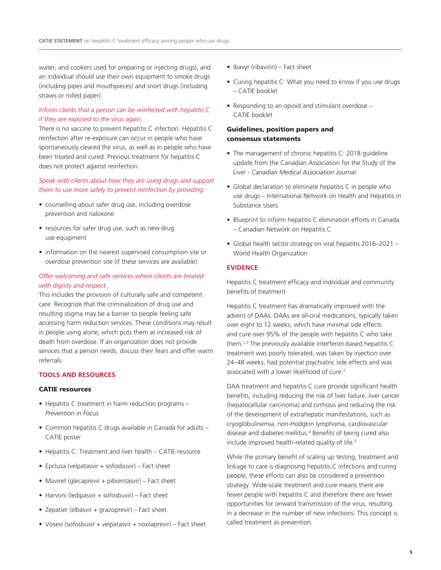water, and cookers used for preparing or injecting drugs), and an individual should use their own equipment to smoke drugs (including pipes and mouthpieces) and snort drugs (including straws or rolled paper).

## *Inform clients that a person can be reinfected with hepatitis C if they are exposed to the virus again.*

There is no vaccine to prevent hepatitis C infection. Hepatitis C reinfection after re-exposure can occur in people who have spontaneously cleared the virus, as well as in people who have been treated and cured. Previous treatment for hepatitis C does not protect against reinfection.

## *Speak with clients about how they are using drugs and support them to use more safely to prevent reinfection by providing:*

- counselling about safer drug use, including overdose prevention and naloxone
- resources for safer drug use, such as new drug use equipment
- information on the nearest supervised consumption site or overdose prevention site (if these services are available)

## *Offer welcoming and safe services where clients are treated with dignity and respect.*

This includes the provision of culturally safe and competent care. Recognize that the criminalization of drug use and resulting stigma may be a barrier to people feeling safe accessing harm reduction services. These conditions may result in people using alone, which puts them at increased risk of death from overdose. If an organization does not provide services that a person needs, discuss their fears and offer warm referrals.

#### **TOOLS AND RESOURCES**

#### CATIE resources

- Hepatitis C treatment in harm reduction programs *Prevention in Focus*
- Common hepatitis C drugs available in Canada for adults CATIE poster
- Hepatitis C: Treatment and liver health CATIE resource
- Epclusa (velpatasvir + sofosbuvir) Fact sheet
- Maviret (glecaprevir + pibrentasvir) Fact sheet
- Harvoni (ledipasvir + sofosbuvir) Fact sheet
- Zepatier (elbasvir + grazoprevir) Fact sheet
- Vosevi (sofosbuvir + velpatasvir + voxilaprevir) Fact sheet
- Ibavyr (ribavirin) Fact sheet
- Curing hepatitis C: What you need to know if you use drugs – CATIE booklet
- Responding to an opioid and stimulant overdose CATIE booklet

## Guidelines, position papers and consensus statements

- The management of chronic hepatitis C: 2018 guideline update from the Canadian Association for the Study of the Liver - *Canadian Medical Association Journal*
- Global declaration to eliminate hepatitis C in people who use drugs – International Network on Health and Hepatitis in Substance Users
- Blueprint to inform hepatitis C elimination efforts in Canada – Canadian Network on Hepatitis C
- Global health sector strategy on viral hepatitis 2016–2021 World Health Organization

#### **EVIDENCE**

Hepatitis C treatment efficacy and individual and community benefits of treatment

Hepatitis C treatment has dramatically improved with the advent of DAAs. DAAs are all-oral medications, typically taken over eight to 12 weeks, which have minimal side effects and cure over 95% of the people with hepatitis C who take them.1,2 The previously available interferon-based hepatitis C treatment was poorly tolerated, was taken by injection over 24–48 weeks, had potential psychiatric side effects and was associated with a lower likelihood of cure.<sup>3</sup>

DAA treatment and hepatitis C cure provide significant health benefits, including reducing the risk of liver failure, liver cancer (hepatocellular carcinoma) and cirrhosis and reducing the risk of the development of extrahepatic manifestations, such as cryoglobulinemia, non-Hodgkin lymphoma, cardiovascular disease and diabetes mellitus.<sup>4</sup> Benefits of being cured also include improved health-related quality of life.<sup>5</sup>

While the primary benefit of scaling up testing, treatment and linkage to care is diagnosing hepatitis C infections and curing people, these efforts can also be considered a prevention strategy. Wide-scale treatment and cure means there are fewer people with hepatitis C and therefore there are fewer opportunities for onward transmission of the virus, resulting in a decrease in the number of new infections. This concept is called treatment as prevention.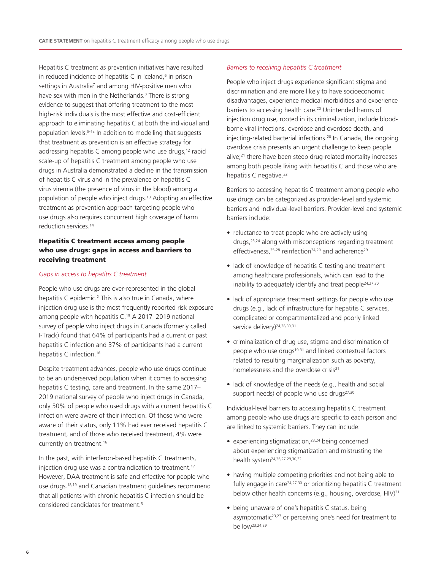Hepatitis C treatment as prevention initiatives have resulted in reduced incidence of hepatitis  $C$  in Iceland,<sup> $6$ </sup> in prison settings in Australia<sup>7</sup> and among HIV-positive men who have sex with men in the Netherlands.<sup>8</sup> There is strong evidence to suggest that offering treatment to the most high-risk individuals is the most effective and cost-efficient approach to eliminating hepatitis C at both the individual and population levels.9-12 In addition to modelling that suggests that treatment as prevention is an effective strategy for addressing hepatitis C among people who use drugs,<sup>12</sup> rapid scale-up of hepatitis C treatment among people who use drugs in Australia demonstrated a decline in the transmission of hepatitis C virus and in the prevalence of hepatitis C virus viremia (the presence of virus in the blood) among a population of people who inject drugs.13 Adopting an effective treatment as prevention approach targeting people who use drugs also requires concurrent high coverage of harm reduction services.14

## Hepatitis C treatment access among people who use drugs: gaps in access and barriers to receiving treatment

#### *Gaps in access to hepatitis C treatment*

People who use drugs are over-represented in the global hepatitis C epidemic.<sup>2</sup> This is also true in Canada, where injection drug use is the most frequently reported risk exposure among people with hepatitis C.<sup>15</sup> A 2017-2019 national survey of people who inject drugs in Canada (formerly called I-Track) found that 64% of participants had a current or past hepatitis C infection and 37% of participants had a current hepatitis C infection.<sup>16</sup>

Despite treatment advances, people who use drugs continue to be an underserved population when it comes to accessing hepatitis C testing, care and treatment. In the same 2017– 2019 national survey of people who inject drugs in Canada, only 50% of people who used drugs with a current hepatitis C infection were aware of their infection. Of those who were aware of their status, only 11% had ever received hepatitis C treatment, and of those who received treatment, 4% were currently on treatment.<sup>16</sup>

In the past, with interferon-based hepatitis C treatments, injection drug use was a contraindication to treatment.<sup>17</sup> However, DAA treatment is safe and effective for people who use drugs.18,19 and Canadian treatment guidelines recommend that all patients with chronic hepatitis C infection should be considered candidates for treatment.5

#### *Barriers to receiving hepatitis C treatment*

People who inject drugs experience significant stigma and discrimination and are more likely to have socioeconomic disadvantages, experience medical morbidities and experience barriers to accessing health care.<sup>20</sup> Unintended harms of injection drug use, rooted in its criminalization, include bloodborne viral infections, overdose and overdose death, and injecting-related bacterial infections.20 In Canada, the ongoing overdose crisis presents an urgent challenge to keep people alive;21 there have been steep drug-related mortality increases among both people living with hepatitis C and those who are hepatitis C negative.<sup>22</sup>

Barriers to accessing hepatitis C treatment among people who use drugs can be categorized as provider-level and systemic barriers and individual-level barriers. Provider-level and systemic barriers include:

- reluctance to treat people who are actively using drugs,<sup>23,24</sup> along with misconceptions regarding treatment effectiveness,<sup>25-28</sup> reinfection<sup>24,29</sup> and adherence<sup>29</sup>
- lack of knowledge of hepatitis C testing and treatment among healthcare professionals, which can lead to the inability to adequately identify and treat people<sup>24,27,30</sup>
- lack of appropriate treatment settings for people who use drugs (e.g., lack of infrastructure for hepatitis C services, complicated or compartmentalized and poorly linked service delivery)<sup>24,28,30,31</sup>
- criminalization of drug use, stigma and discrimination of people who use drugs<sup>19,31</sup> and linked contextual factors related to resulting marginalization such as poverty, homelessness and the overdose crisis<sup>31</sup>
- lack of knowledge of the needs (e.g., health and social support needs) of people who use drugs<sup>27,30</sup>

Individual-level barriers to accessing hepatitis C treatment among people who use drugs are specific to each person and are linked to systemic barriers. They can include:

- experiencing stigmatization,<sup>23,24</sup> being concerned about experiencing stigmatization and mistrusting the health system24,26,27,29,30,32
- having multiple competing priorities and not being able to fully engage in care<sup>24,27,30</sup> or prioritizing hepatitis  $C$  treatment below other health concerns (e.g., housing, overdose, HIV)<sup>31</sup>
- being unaware of one's hepatitis C status, being asymptomatic<sup>23,27</sup> or perceiving one's need for treatment to be low23,24,29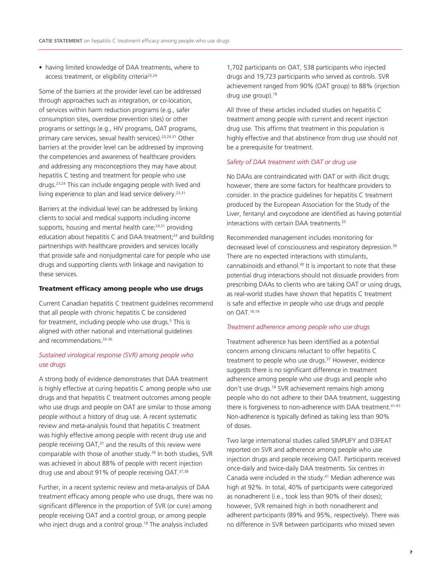• having limited knowledge of DAA treatments, where to access treatment, or eligibility criteria23,24

Some of the barriers at the provider level can be addressed through approaches such as integration, or co-location, of services within harm reduction programs (e.g., safer consumption sites, overdose prevention sites) or other programs or settings (e.g., HIV programs, OAT programs, primary care services, sexual health services).<sup>23,24,31</sup> Other barriers at the provider level can be addressed by improving the competencies and awareness of healthcare providers and addressing any misconceptions they may have about hepatitis C testing and treatment for people who use drugs.23,24 This can include engaging people with lived and living experience to plan and lead service delivery.<sup>23,31</sup>

Barriers at the individual level can be addressed by linking clients to social and medical supports including income supports, housing and mental health care; $24,31$  providing education about hepatitis C and DAA treatment;<sup>24</sup> and building partnerships with healthcare providers and services locally that provide safe and nonjudgmental care for people who use drugs and supporting clients with linkage and navigation to these services.

#### Treatment efficacy among people who use drugs

Current Canadian hepatitis C treatment guidelines recommend that all people with chronic hepatitis C be considered for treatment, including people who use drugs.<sup>5</sup> This is aligned with other national and international guidelines and recommendations.<sup>33-36</sup>

## *Sustained virological response (SVR) among people who use drugs*

A strong body of evidence demonstrates that DAA treatment is highly effective at curing hepatitis C among people who use drugs and that hepatitis C treatment outcomes among people who use drugs and people on OAT are similar to those among people without a history of drug use. A recent systematic review and meta-analysis found that hepatitis C treatment was highly effective among people with recent drug use and people receiving OAT,<sup>37</sup> and the results of this review were comparable with those of another study.38 In both studies, SVR was achieved in about 88% of people with recent injection drug use and about 91% of people receiving OAT.37,38

Further, in a recent systemic review and meta-analysis of DAA treatment efficacy among people who use drugs, there was no significant difference in the proportion of SVR (or cure) among people receiving OAT and a control group, or among people who inject drugs and a control group.<sup>18</sup> The analysis included

1,702 participants on OAT, 538 participants who injected drugs and 19,723 participants who served as controls. SVR achievement ranged from 90% (OAT group) to 88% (injection drug use group).<sup>18</sup>

All three of these articles included studies on hepatitis C treatment among people with current and recent injection drug use. This affirms that treatment in this population is highly effective and that abstinence from drug use should not be a prerequisite for treatment.

#### *Safety of DAA treatment with OAT or drug use*

No DAAs are contraindicated with OAT or with illicit drugs; however, there are some factors for healthcare providers to consider. In the practice guidelines for hepatitis C treatment produced by the European Association for the Study of the Liver, fentanyl and oxycodone are identified as having potential interactions with certain DAA treatments.<sup>33</sup>

Recommended management includes monitoring for decreased level of consciousness and respiratory depression.<sup>39</sup> There are no expected interactions with stimulants, cannabinoids and ethanol.<sup>40</sup> It is important to note that these potential drug interactions should not dissuade providers from prescribing DAAs to clients who are taking OAT or using drugs, as real-world studies have shown that hepatitis C treatment is safe and effective in people who use drugs and people on OAT.18,19

#### *Treatment adherence among people who use drugs*

Treatment adherence has been identified as a potential concern among clinicians reluctant to offer hepatitis C treatment to people who use drugs.37 However, evidence suggests there is no significant difference in treatment adherence among people who use drugs and people who don't use drugs.18 SVR achievement remains high among people who do not adhere to their DAA treatment, suggesting there is forgiveness to non-adherence with DAA treatment.<sup>41-43</sup> Non-adherence is typically defined as taking less than 90% of doses.

Two large international studies called SIMPLIFY and D3FEAT reported on SVR and adherence among people who use injection drugs and people receiving OAT. Participants received once-daily and twice-daily DAA treatments. Six centres in Canada were included in the study.41 Median adherence was high at 92%. In total, 40% of participants were categorized as nonadherent (i.e., took less than 90% of their doses); however, SVR remained high in both nonadherent and adherent participants (89% and 95%, respectively). There was no difference in SVR between participants who missed seven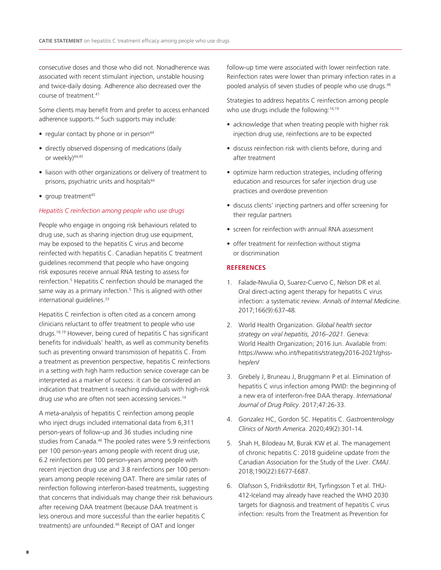consecutive doses and those who did not. Nonadherence was associated with recent stimulant injection, unstable housing and twice-daily dosing. Adherence also decreased over the course of treatment.41

Some clients may benefit from and prefer to access enhanced adherence supports.<sup>44</sup> Such supports may include:

- regular contact by phone or in person<sup>44</sup>
- directly observed dispensing of medications (daily or weekly)<sup>44,45</sup>
- liaison with other organizations or delivery of treatment to prisons, psychiatric units and hospitals<sup>44</sup>
- $\bullet$  group treatment<sup>45</sup>

#### *Hepatitis C reinfection among people who use drugs*

People who engage in ongoing risk behaviours related to drug use, such as sharing injection drug use equipment, may be exposed to the hepatitis C virus and become reinfected with hepatitis C. Canadian hepatitis C treatment guidelines recommend that people who have ongoing risk exposures receive annual RNA testing to assess for reinfection.5 Hepatitis C reinfection should be managed the same way as a primary infection.<sup>5</sup> This is aligned with other international guidelines.<sup>33</sup>

Hepatitis C reinfection is often cited as a concern among clinicians reluctant to offer treatment to people who use drugs.18,19 However, being cured of hepatitis C has significant benefits for individuals' health, as well as community benefits such as preventing onward transmission of hepatitis C. From a treatment as prevention perspective, hepatitis C reinfections in a setting with high harm reduction service coverage can be interpreted as a marker of success: it can be considered an indication that treatment is reaching individuals with high-risk drug use who are often not seen accessing services.<sup>14</sup>

A meta-analysis of hepatitis C reinfection among people who inject drugs included international data from 6,311 person-years of follow-up and 36 studies including nine studies from Canada.46 The pooled rates were 5.9 reinfections per 100 person-years among people with recent drug use, 6.2 reinfections per 100 person-years among people with recent injection drug use and 3.8 reinfections per 100 personyears among people receiving OAT. There are similar rates of reinfection following interferon-based treatments, suggesting that concerns that individuals may change their risk behaviours after receiving DAA treatment (because DAA treatment is less onerous and more successful than the earlier hepatitis C treatments) are unfounded.46 Receipt of OAT and longer

follow-up time were associated with lower reinfection rate. Reinfection rates were lower than primary infection rates in a pooled analysis of seven studies of people who use drugs.<sup>46</sup>

Strategies to address hepatitis C reinfection among people who use drugs include the following:<sup>14,19</sup>

- acknowledge that when treating people with higher risk injection drug use, reinfections are to be expected
- discuss reinfection risk with clients before, during and after treatment
- optimize harm reduction strategies, including offering education and resources for safer injection drug use practices and overdose prevention
- discuss clients' injecting partners and offer screening for their regular partners
- screen for reinfection with annual RNA assessment
- offer treatment for reinfection without stigma or discrimination

#### **REFERENCES**

- 1. Falade-Nwulia O, Suarez-Cuervo C, Nelson DR et al. Oral direct-acting agent therapy for hepatitis C virus infection: a systematic review. *Annals of Internal Medicine*. 2017;166(9):637-48.
- 2. World Health Organization. *Global health sector strategy on viral hepatitis, 2016–2021*. Geneva: World Health Organization; 2016 Jun. Available from: https://www.who.int/hepatitis/strategy2016-2021/ghsshep/en/
- 3. Grebely J, Bruneau J, Bruggmann P et al. Elimination of hepatitis C virus infection among PWID: the beginning of a new era of interferon-free DAA therapy. *International Journal of Drug Policy*. 2017;47:26-33.
- 4. Gonzalez HC, Gordon SC. Hepatitis C. *Gastroenterology Clinics of North America*. 2020;49(2):301-14.
- 5. Shah H, Bilodeau M, Burak KW et al. The management of chronic hepatitis C: 2018 guideline update from the Canadian Association for the Study of the Liver. *CMAJ*. 2018;190(22):E677-E687.
- 6. Olafsson S, Fridriksdottir RH, Tyrfingsson T et al. THU-412-Iceland may already have reached the WHO 2030 targets for diagnosis and treatment of hepatitis C virus infection: results from the Treatment as Prevention for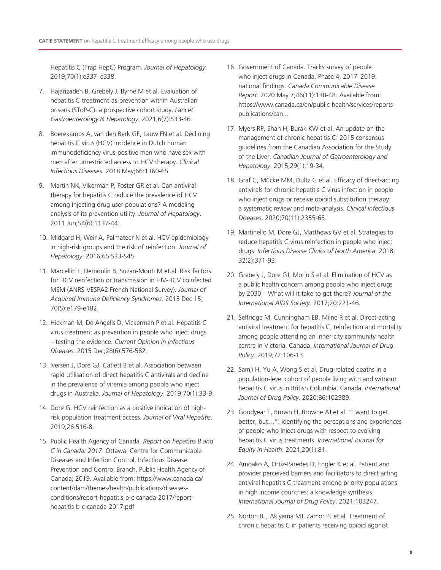Hepatitis C (Trap HepC) Program. *Journal of Hepatology*. 2019;70(1);e337–e338.

- 7. Hajarizadeh B, Grebely J, Byrne M et al. Evaluation of hepatitis C treatment-as-prevention within Australian prisons (SToP-C): a prospective cohort study. *Lancet Gastroenterology & Hepatology*. 2021;6(7):533-46.
- 8. Boerekamps A, van den Berk GE, Lauw FN et al. Declining hepatitis C virus (HCV) incidence in Dutch human immunodeficiency virus-positive men who have sex with men after unrestricted access to HCV therapy. *Clinical Infectious Diseases*. 2018 May;66:1360-65.
- 9. Martin NK, Vikerman P, Foster GR et al. Can antiviral therapy for hepatitis C reduce the prevalence of HCV among injecting drug user populations? A modeling analysis of its prevention utility. *Journal of Hepatology*. 2011 Jun;54(6):1137-44.
- 10. Midgard H, Weir A, Palmateer N et al. HCV epidemiology in high-risk groups and the risk of reinfection. *Journal of Hepatology*. 2016;65:S33-S45.
- 11. Marcellin F, Demoulin B, Suzan-Monti M et.al. Risk factors for HCV reinfection or transmission in HIV-HCV coinfected MSM (ANRS-VESPA2 French National Survey). *Journal of Acquired Immune Deficiency Syndromes*. 2015 Dec 15; 70(5):e179-e182.
- 12. Hickman M, De Angelis D, Vickerman P et al. Hepatitis C virus treatment as prevention in people who inject drugs – testing the evidence. *Current Opinion in Infectious Diseases*. 2015 Dec;28(6):576-582.
- 13. Iversen J, Dore GJ, Catlett B et al. Association between rapid utilisation of direct hepatitis C antivirals and decline in the prevalence of viremia among people who inject drugs in Australia. *Journal of Hepatology*. 2019;70(1):33-9.
- 14. Dore G. HCV reinfection as a positive indication of highrisk population treatment access. *Journal of Viral Hepatitis*. 2019;26:516-8.
- 15. Public Health Agency of Canada. *Report on hepatitis B and C in Canada: 2017*. Ottawa: Centre for Communicable Diseases and Infection Control, Infectious Disease Prevention and Control Branch, Public Health Agency of Canada; 2019. Available from: https://www.canada.ca/ content/dam/themes/health/publications/diseasesconditions/report-hepatitis-b-c-canada-2017/reporthepatitis-b-c-canada-2017.pdf
- 16. Government of Canada. Tracks survey of people who inject drugs in Canada, Phase 4, 2017–2019: national findings. *Canada Communicable Disease Report*. 2020 May 7;46(11):138-48. Available from: https://www.canada.ca/en/public-health/services/reportspublications/can...
- 17. Myers RP, Shah H, Burak KW et al. An update on the management of chronic hepatitis C: 2015 consensus guidelines from the Canadian Association for the Study of the Liver. *Canadian Journal of Gatroenterology and Hepatology*. 2015;29(1):19-34.
- 18. Graf C, Mücke MM, Dultz G et al. Efficacy of direct-acting antivirals for chronic hepatitis C virus infection in people who inject drugs or receive opioid substitution therapy: a systematic review and meta-analysis. *Clinical Infectious Diseases*. 2020;70(11):2355-65.
- 19. Martinello M, Dore GJ, Matthews GV et al. Strategies to reduce hepatitis C virus reinfection in people who inject drugs. *Infectious Disease Clinics of North America*. 2018; 32(2):371-93.
- 20. Grebely J, Dore GJ, Morin S et al. Elimination of HCV as a public health concern among people who inject drugs by 2030 – What will it take to get there? *Journal of the International AIDS Society*. 2017;20:221-46.
- 21. Selfridge M, Cunningham EB, Milne R et al. Direct-acting antiviral treatment for hepatitis C, reinfection and mortality among people attending an inner-city community health centre in Victoria, Canada. *International Journal of Drug Policy*. 2019;72:106-13.
- 22. Samji H, Yu A, Wong S et al. Drug-related deaths in a population-level cohort of people living with and without hepatitis C virus in British Columbia, Canada. *International Journal of Drug Policy*. 2020;86:102989.
- 23. Goodyear T, Brown H, Browne AJ et al. "I want to get better, but…": identifying the perceptions and experiences of people who inject drugs with respect to evolving hepatitis C virus treatments. *International Journal for Equity in Health*. 2021;20(1):81.
- 24. Amoako A, Ortiz-Paredes D, Engler K et al. Patient and provider perceived barriers and facilitators to direct acting antiviral hepatitis C treatment among priority populations in high income countries: a knowledge synthesis. *International Journal of Drug Policy*. 2021;103247.
- 25. Norton BL, Akiyama MJ, Zamor PJ et al. Treatment of chronic hepatitis C in patients receiving opioid agonist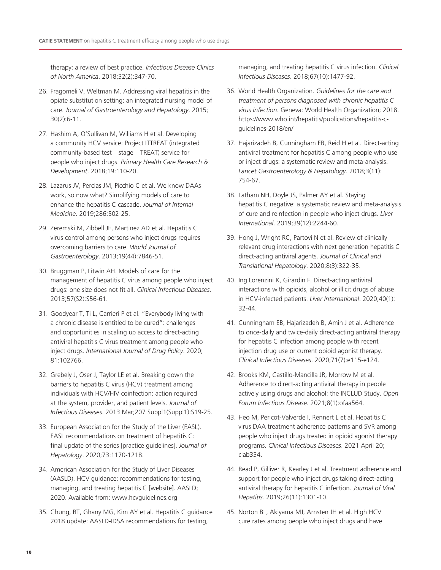therapy: a review of best practice. *Infectious Disease Clinics of North America*. 2018;32(2):347-70.

- 26. Fragomeli V, Weltman M. Addressing viral hepatitis in the opiate substitution setting: an integrated nursing model of care. *Journal of Gastroenterology and Hepatology*. 2015; 30(2):6-11.
- 27. Hashim A, O'Sullivan M, Williams H et al. Developing a community HCV service: Project ITTREAT (integrated community-based test – stage – TREAT) service for people who inject drugs. *Primary Health Care Research & Development*. 2018;19:110-20.
- 28. Lazarus JV, Percias JM, Picchio C et al. We know DAAs work, so now what? Simplifying models of care to enhance the hepatitis C cascade. *Journal of Internal Medicine*. 2019;286:502-25.
- 29. Zeremski M, Zibbell JE, Martinez AD et al. Hepatitis C virus control among persons who inject drugs requires overcoming barriers to care. *World Journal of Gastroenterology*. 2013;19(44):7846-51.
- 30. Bruggman P, Litwin AH. Models of care for the management of hepatitis C virus among people who inject drugs: one size does not fit all. *Clinical Infectious Diseases*. 2013;57(S2):S56-61.
- 31. Goodyear T, Ti L, Carrieri P et al. "Everybody living with a chronic disease is entitled to be cured": challenges and opportunities in scaling up access to direct-acting antiviral hepatitis C virus treatment among people who inject drugs. *International Journal of Drug Policy*. 2020; 81:102766.
- 32. Grebely J, Oser J, Taylor LE et al. Breaking down the barriers to hepatitis C virus (HCV) treatment among individuals with HCV/HIV coinfection: action required at the system, provider, and patient levels. *Journal of Infectious Diseases*. 2013 Mar;207 Suppl1(Suppl1):S19-25.
- 33. European Association for the Study of the Liver (EASL). EASL recommendations on treatment of hepatitis C: final update of the series [practice guidelines]. *Journal of Hepatology*. 2020;73:1170-1218.
- 34. American Association for the Study of Liver Diseases (AASLD). HCV guidance: recommendations for testing, managing, and treating hepatitis C [website]. AASLD; 2020. Available from: www.hcvguidelines.org
- 35. Chung, RT, Ghany MG, Kim AY et al. Hepatitis C guidance 2018 update: AASLD-IDSA recommendations for testing,

managing, and treating hepatitis C virus infection. *Clinical Infectious Diseases*. 2018;67(10):1477-92.

- 36. World Health Organization. *Guidelines for the care and treatment of persons diagnosed with chronic hepatitis C virus infection*. Geneva: World Health Organization; 2018. https://www.who.int/hepatitis/publications/hepatitis-cguidelines-2018/en/
- 37. Hajarizadeh B, Cunningham EB, Reid H et al. Direct-acting antiviral treatment for hepatitis C among people who use or inject drugs: a systematic review and meta-analysis. *Lancet Gastroenterology & Hepatology*. 2018;3(11): 754-67.
- 38. Latham NH, Doyle JS, Palmer AY et al. Staying hepatitis C negative: a systematic review and meta-analysis of cure and reinfection in people who inject drugs. *Liver International*. 2019;39(12):2244-60.
- 39. Hong J, Wright RC, Partovi N et al. Review of clinically relevant drug interactions with next generation hepatitis C direct-acting antiviral agents. *Journal of Clinical and Translational Hepatology*. 2020;8(3):322-35.
- 40. Ing Lorenzini K, Girardin F. Direct-acting antiviral interactions with opioids, alcohol or illicit drugs of abuse in HCV-infected patients. *Liver International*. 2020;40(1): 32-44.
- 41. Cunningham EB, Hajarizadeh B, Amin J et al. Adherence to once-daily and twice-daily direct-acting antiviral therapy for hepatitis C infection among people with recent injection drug use or current opioid agonist therapy. *Clinical Infectious Diseases*. 2020;71(7):e115-e124.
- 42. Brooks KM, Castillo-Mancilla JR, Morrow M et al. Adherence to direct-acting antiviral therapy in people actively using drugs and alcohol: the INCLUD Study. *Open Forum Infectious Disease*. 2021;8(1):ofaa564.
- 43. Heo M, Pericot-Valverde I, Rennert L et al. Hepatitis C virus DAA treatment adherence patterns and SVR among people who inject drugs treated in opioid agonist therapy programs. *Clinical Infectious Diseases*. 2021 April 20; ciab334.
- 44. Read P, Gilliver R, Kearley J et al. Treatment adherence and support for people who inject drugs taking direct-acting antiviral therapy for hepatitis C infection. *Journal of Viral Hepatitis*. 2019;26(11):1301-10.
- 45. Norton BL, Akiyama MJ, Arnsten JH et al. High HCV cure rates among people who inject drugs and have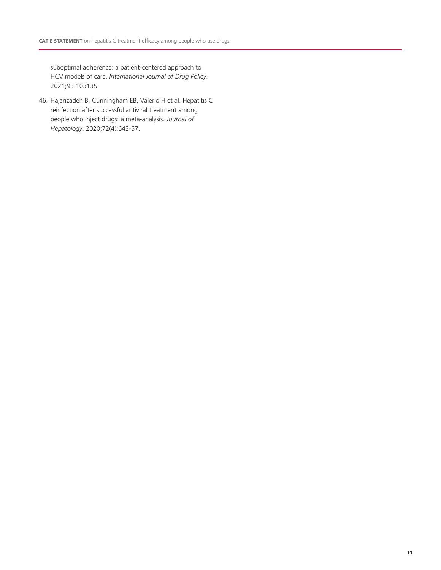suboptimal adherence: a patient-centered approach to HCV models of care. *International Journal of Drug Policy*. 2021;93:103135.

46. Hajarizadeh B, Cunningham EB, Valerio H et al. Hepatitis C reinfection after successful antiviral treatment among people who inject drugs: a meta-analysis. *Journal of Hepatology*. 2020;72(4):643-57.